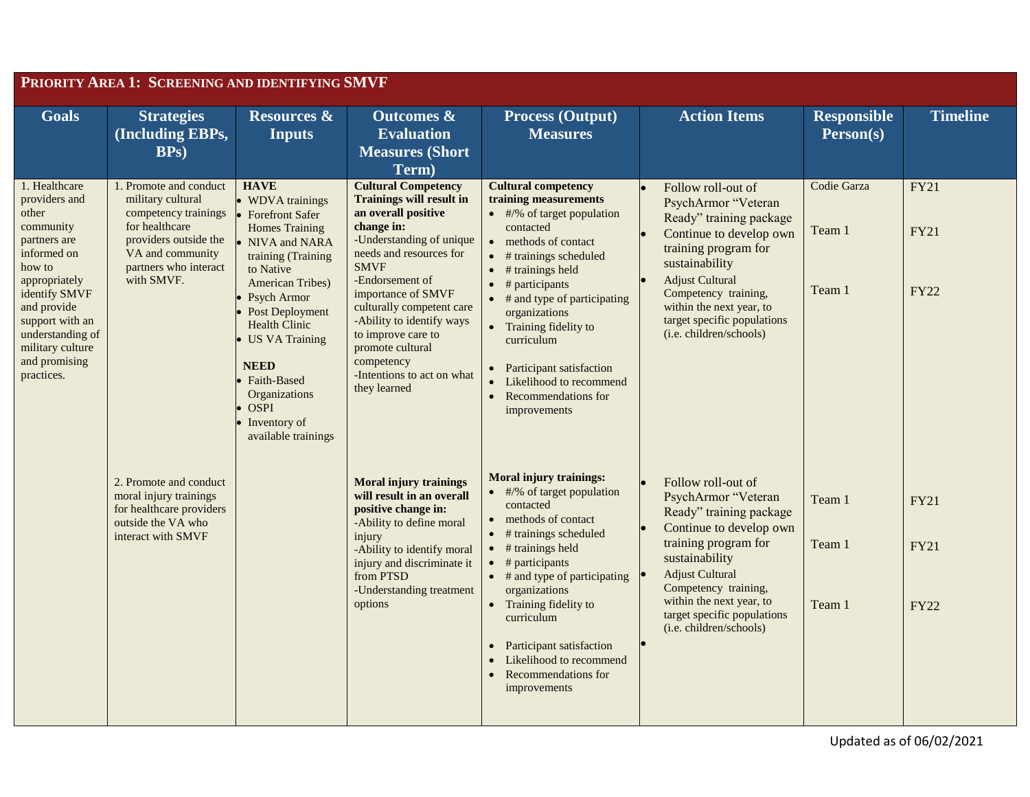|                                                                                                                                                                                                                                          | PRIORITY AREA 1: SCREENING AND IDENTIFYING SMVF                                                                                                                           |                                                                                                                                                                                                                                                                                                                                                           |                                                                                                                                                                                                                                                                                                                                                                                   |                                                                                                                                                                                                                                                                                                                                                                                                                                     |                                                                                                                                                                                                                                                                                   |                                 |                                           |
|------------------------------------------------------------------------------------------------------------------------------------------------------------------------------------------------------------------------------------------|---------------------------------------------------------------------------------------------------------------------------------------------------------------------------|-----------------------------------------------------------------------------------------------------------------------------------------------------------------------------------------------------------------------------------------------------------------------------------------------------------------------------------------------------------|-----------------------------------------------------------------------------------------------------------------------------------------------------------------------------------------------------------------------------------------------------------------------------------------------------------------------------------------------------------------------------------|-------------------------------------------------------------------------------------------------------------------------------------------------------------------------------------------------------------------------------------------------------------------------------------------------------------------------------------------------------------------------------------------------------------------------------------|-----------------------------------------------------------------------------------------------------------------------------------------------------------------------------------------------------------------------------------------------------------------------------------|---------------------------------|-------------------------------------------|
| <b>Goals</b>                                                                                                                                                                                                                             | <b>Strategies</b><br>(Including EBPs,<br><b>BPs</b> )                                                                                                                     | Resources &<br><b>Inputs</b>                                                                                                                                                                                                                                                                                                                              | <b>Outcomes &amp;</b><br><b>Evaluation</b><br><b>Measures (Short</b><br>Term)                                                                                                                                                                                                                                                                                                     | <b>Process (Output)</b><br><b>Measures</b>                                                                                                                                                                                                                                                                                                                                                                                          | <b>Action Items</b>                                                                                                                                                                                                                                                               | <b>Responsible</b><br>Person(s) | <b>Timeline</b>                           |
| 1. Healthcare<br>providers and<br>other<br>community<br>partners are<br>informed on<br>how to<br>appropriately<br>identify SMVF<br>and provide<br>support with an<br>understanding of<br>military culture<br>and promising<br>practices. | 1. Promote and conduct<br>military cultural<br>competency trainings<br>for healthcare<br>providers outside the<br>VA and community<br>partners who interact<br>with SMVF. | <b>HAVE</b><br>• WDVA trainings<br><b>Forefront Safer</b><br><b>Homes Training</b><br>NIVA and NARA<br>training (Training<br>to Native<br>American Tribes)<br><b>Psych Armor</b><br>Post Deployment<br><b>Health Clinic</b><br><b>US VA Training</b><br><b>NEED</b><br>Faith-Based<br>Organizations<br><b>OSPI</b><br>Inventory of<br>available trainings | <b>Cultural Competency</b><br><b>Trainings will result in</b><br>an overall positive<br>change in:<br>-Understanding of unique<br>needs and resources for<br><b>SMVF</b><br>-Endorsement of<br>importance of SMVF<br>culturally competent care<br>-Ability to identify ways<br>to improve care to<br>promote cultural<br>competency<br>-Intentions to act on what<br>they learned | <b>Cultural competency</b><br>training measurements<br>$\bullet$ #/% of target population<br>contacted<br>methods of contact<br>$\bullet$<br># trainings scheduled<br>$\bullet$<br># trainings held<br># participants<br>$\bullet$<br># and type of participating<br>organizations<br>Training fidelity to<br>curriculum<br>Participant satisfaction<br>Likelihood to recommend<br>$\bullet$<br>Recommendations for<br>improvements | Follow roll-out of<br>PsychArmor "Veteran<br>Ready" training package<br>Continue to develop own<br>training program for<br>sustainability<br><b>Adjust Cultural</b><br>Competency training,<br>within the next year, to<br>target specific populations<br>(i.e. children/schools) | Codie Garza<br>Team 1<br>Team 1 | <b>FY21</b><br><b>FY21</b><br><b>FY22</b> |
|                                                                                                                                                                                                                                          | 2. Promote and conduct<br>moral injury trainings<br>for healthcare providers<br>outside the VA who<br>interact with SMVF                                                  |                                                                                                                                                                                                                                                                                                                                                           | <b>Moral injury trainings</b><br>will result in an overall<br>positive change in:<br>-Ability to define moral<br>injury<br>-Ability to identify moral<br>injury and discriminate it<br>from PTSD<br>-Understanding treatment<br>options                                                                                                                                           | <b>Moral injury trainings:</b><br>$\bullet$ #/% of target population<br>contacted<br>• methods of contact<br># trainings scheduled<br># trainings held<br># participants<br>$\bullet$<br># and type of participating<br>organizations<br>Training fidelity to<br>curriculum<br>Participant satisfaction<br>Likelihood to recommend<br>$\bullet$<br>Recommendations for<br>improvements                                              | Follow roll-out of<br>PsychArmor "Veteran<br>Ready" training package<br>Continue to develop own<br>training program for<br>sustainability<br><b>Adjust Cultural</b><br>Competency training,<br>within the next year, to<br>target specific populations<br>(i.e. children/schools) | Team 1<br>Team 1<br>Team 1      | <b>FY21</b><br><b>FY21</b><br><b>FY22</b> |

Updated as of 06/02/2021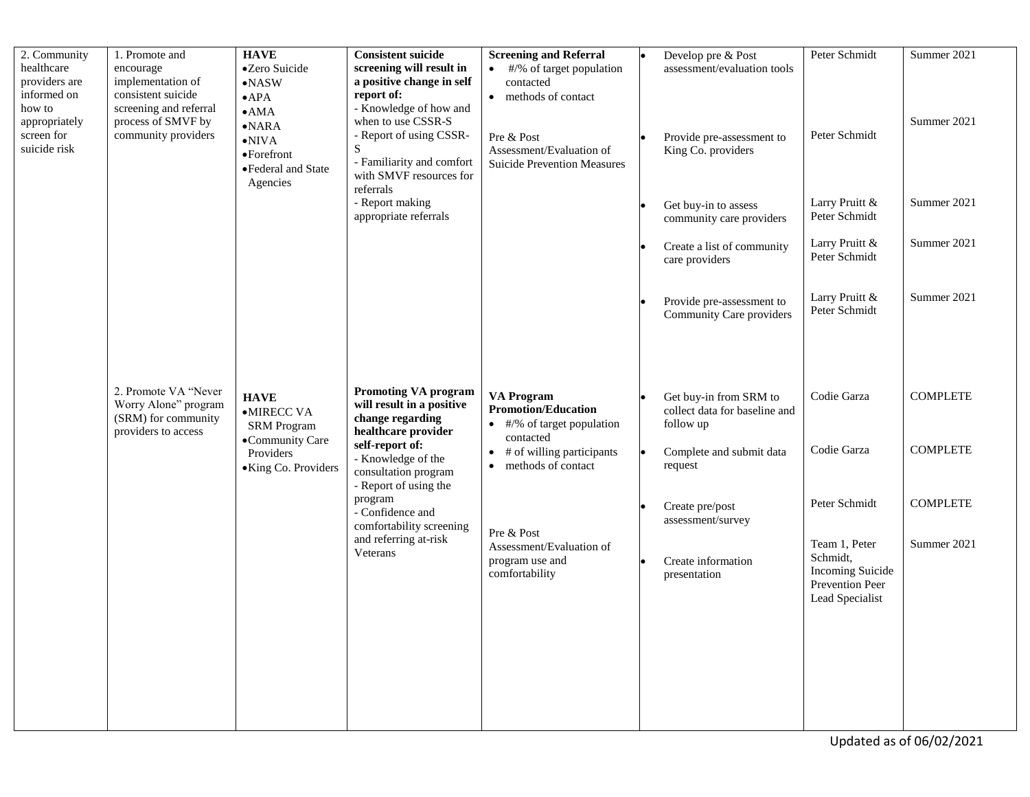| 2. Community<br>healthcare<br>providers are<br>informed on<br>how to<br>appropriately<br>screen for<br>suicide risk | 1. Promote and<br>encourage<br>implementation of<br>consistent suicide<br>screening and referral<br>process of SMVF by<br>community providers | <b>HAVE</b><br>·Zero Suicide<br>$\bullet$ NASW<br>$\bullet$ APA<br>$\bullet{\rm AMA}$<br>$\bullet\text{NARA}$<br>$\bullet\text{NIVA}$<br>$\bullet$ Forefront<br>•Federal and State<br>Agencies | <b>Consistent suicide</b><br>screening will result in<br>a positive change in self<br>report of:<br>- Knowledge of how and<br>when to use CSSR-S<br>- Report of using CSSR-<br>S<br>- Familiarity and comfort<br>with SMVF resources for<br>referrals<br>- Report making<br>appropriate referrals | <b>Screening and Referral</b><br>$\bullet$ #/% of target population<br>contacted<br>• methods of contact<br>Pre & Post<br>Assessment/Evaluation of<br><b>Suicide Prevention Measures</b>                                               | Develop pre & Post<br>assessment/evaluation tools<br>Provide pre-assessment to<br>King Co. providers<br>Get buy-in to assess<br>community care providers<br>Create a list of community<br>care providers<br>Provide pre-assessment to<br>Community Care providers | Peter Schmidt<br>Peter Schmidt<br>Larry Pruitt &<br>Peter Schmidt<br>Larry Pruitt &<br>Peter Schmidt<br>Larry Pruitt &<br>Peter Schmidt          | Summer 2021<br>Summer 2021<br>Summer 2021<br>Summer 2021<br>Summer 2021 |
|---------------------------------------------------------------------------------------------------------------------|-----------------------------------------------------------------------------------------------------------------------------------------------|------------------------------------------------------------------------------------------------------------------------------------------------------------------------------------------------|---------------------------------------------------------------------------------------------------------------------------------------------------------------------------------------------------------------------------------------------------------------------------------------------------|----------------------------------------------------------------------------------------------------------------------------------------------------------------------------------------------------------------------------------------|-------------------------------------------------------------------------------------------------------------------------------------------------------------------------------------------------------------------------------------------------------------------|--------------------------------------------------------------------------------------------------------------------------------------------------|-------------------------------------------------------------------------|
|                                                                                                                     | 2. Promote VA "Never<br>Worry Alone" program<br>(SRM) for community<br>providers to access                                                    | <b>HAVE</b><br>$\bullet$ MIRECC VA<br><b>SRM Program</b><br>•Community Care<br>Providers<br>· King Co. Providers                                                                               | <b>Promoting VA program</b><br>will result in a positive<br>change regarding<br>healthcare provider<br>self-report of:<br>- Knowledge of the<br>consultation program<br>- Report of using the<br>program<br>- Confidence and<br>comfortability screening<br>and referring at-risk<br>Veterans     | <b>VA Program</b><br><b>Promotion/Education</b><br>• #/% of target population<br>contacted<br>$\bullet$ # of willing participants<br>methods of contact<br>Pre & Post<br>Assessment/Evaluation of<br>program use and<br>comfortability | Get buy-in from SRM to<br>collect data for baseline and<br>follow up<br>Complete and submit data<br>request<br>Create pre/post<br>assessment/survey<br>Create information<br>presentation                                                                         | Codie Garza<br>Codie Garza<br>Peter Schmidt<br>Team 1, Peter<br>Schmidt,<br><b>Incoming Suicide</b><br><b>Prevention Peer</b><br>Lead Specialist | <b>COMPLETE</b><br><b>COMPLETE</b><br><b>COMPLETE</b><br>Summer 2021    |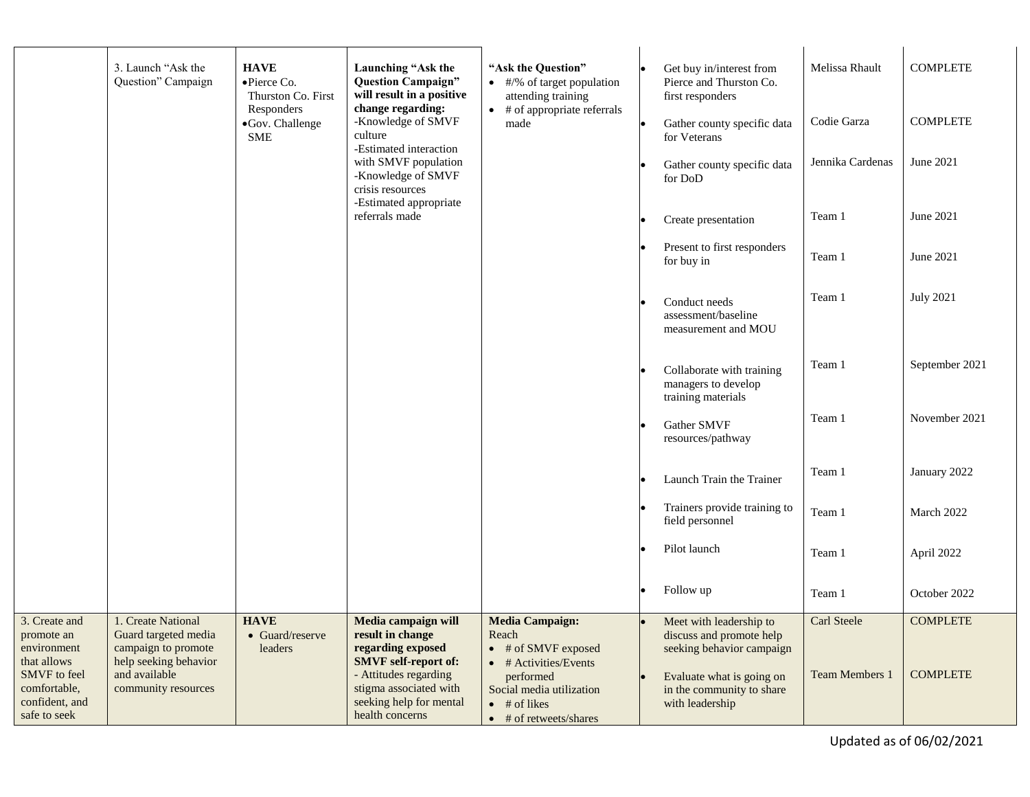|                                                                                                                                    | 3. Launch "Ask the<br>Question" Campaign                                                                                           | <b>HAVE</b><br>•Pierce Co.<br>Thurston Co. First<br>Responders<br>·Gov. Challenge<br><b>SME</b> | Launching "Ask the<br><b>Question Campaign"</b><br>will result in a positive<br>change regarding:<br>-Knowledge of SMVF<br>culture<br>-Estimated interaction<br>with SMVF population<br>-Knowledge of SMVF<br>crisis resources | "Ask the Question"<br>$\bullet$ #/% of target population<br>attending training<br>$\bullet$ # of appropriate referrals<br>made                                                                     | Get buy in/interest from<br>Pierce and Thurston Co.<br>first responders<br>Gather county specific data<br>for Veterans<br>Gather county specific data<br>for DoD | Melissa Rhault<br>Codie Garza<br>Jennika Cardenas | <b>COMPLETE</b><br><b>COMPLETE</b><br>June 2021 |
|------------------------------------------------------------------------------------------------------------------------------------|------------------------------------------------------------------------------------------------------------------------------------|-------------------------------------------------------------------------------------------------|--------------------------------------------------------------------------------------------------------------------------------------------------------------------------------------------------------------------------------|----------------------------------------------------------------------------------------------------------------------------------------------------------------------------------------------------|------------------------------------------------------------------------------------------------------------------------------------------------------------------|---------------------------------------------------|-------------------------------------------------|
|                                                                                                                                    |                                                                                                                                    |                                                                                                 | -Estimated appropriate<br>referrals made                                                                                                                                                                                       |                                                                                                                                                                                                    | Create presentation                                                                                                                                              | Team 1                                            | June 2021                                       |
|                                                                                                                                    |                                                                                                                                    |                                                                                                 |                                                                                                                                                                                                                                |                                                                                                                                                                                                    | Present to first responders<br>for buy in                                                                                                                        | Team 1                                            | June 2021                                       |
|                                                                                                                                    |                                                                                                                                    |                                                                                                 |                                                                                                                                                                                                                                |                                                                                                                                                                                                    | Conduct needs<br>assessment/baseline<br>measurement and MOU                                                                                                      | Team 1                                            | <b>July 2021</b>                                |
|                                                                                                                                    |                                                                                                                                    |                                                                                                 |                                                                                                                                                                                                                                |                                                                                                                                                                                                    | Collaborate with training<br>managers to develop<br>training materials                                                                                           | Team 1                                            | September 2021                                  |
|                                                                                                                                    |                                                                                                                                    |                                                                                                 |                                                                                                                                                                                                                                |                                                                                                                                                                                                    | Gather SMVF<br>resources/pathway                                                                                                                                 | Team 1                                            | November 2021                                   |
|                                                                                                                                    |                                                                                                                                    |                                                                                                 |                                                                                                                                                                                                                                |                                                                                                                                                                                                    | Launch Train the Trainer                                                                                                                                         | Team 1                                            | January 2022                                    |
|                                                                                                                                    |                                                                                                                                    |                                                                                                 |                                                                                                                                                                                                                                |                                                                                                                                                                                                    | Trainers provide training to<br>field personnel                                                                                                                  | Team 1                                            | March 2022                                      |
|                                                                                                                                    |                                                                                                                                    |                                                                                                 |                                                                                                                                                                                                                                |                                                                                                                                                                                                    | Pilot launch                                                                                                                                                     | Team 1                                            | April 2022                                      |
|                                                                                                                                    |                                                                                                                                    |                                                                                                 |                                                                                                                                                                                                                                |                                                                                                                                                                                                    | Follow up                                                                                                                                                        | Team 1                                            | October 2022                                    |
| 3. Create and<br>promote an<br>environment<br>that allows<br><b>SMVF</b> to feel<br>comfortable,<br>confident, and<br>safe to seek | 1. Create National<br>Guard targeted media<br>campaign to promote<br>help seeking behavior<br>and available<br>community resources | <b>HAVE</b><br>• Guard/reserve<br>leaders                                                       | Media campaign will<br>result in change<br>regarding exposed<br><b>SMVF</b> self-report of:<br>- Attitudes regarding<br>stigma associated with<br>seeking help for mental<br>health concerns                                   | <b>Media Campaign:</b><br>Reach<br>$\bullet$ # of SMVF exposed<br>$\bullet$ # Activities/Events<br>performed<br>Social media utilization<br>$\bullet$ # of likes<br>$\bullet$ # of retweets/shares | Meet with leadership to<br>discuss and promote help<br>seeking behavior campaign<br>Evaluate what is going on<br>in the community to share<br>with leadership    | Carl Steele<br><b>Team Members 1</b>              | <b>COMPLETE</b><br><b>COMPLETE</b>              |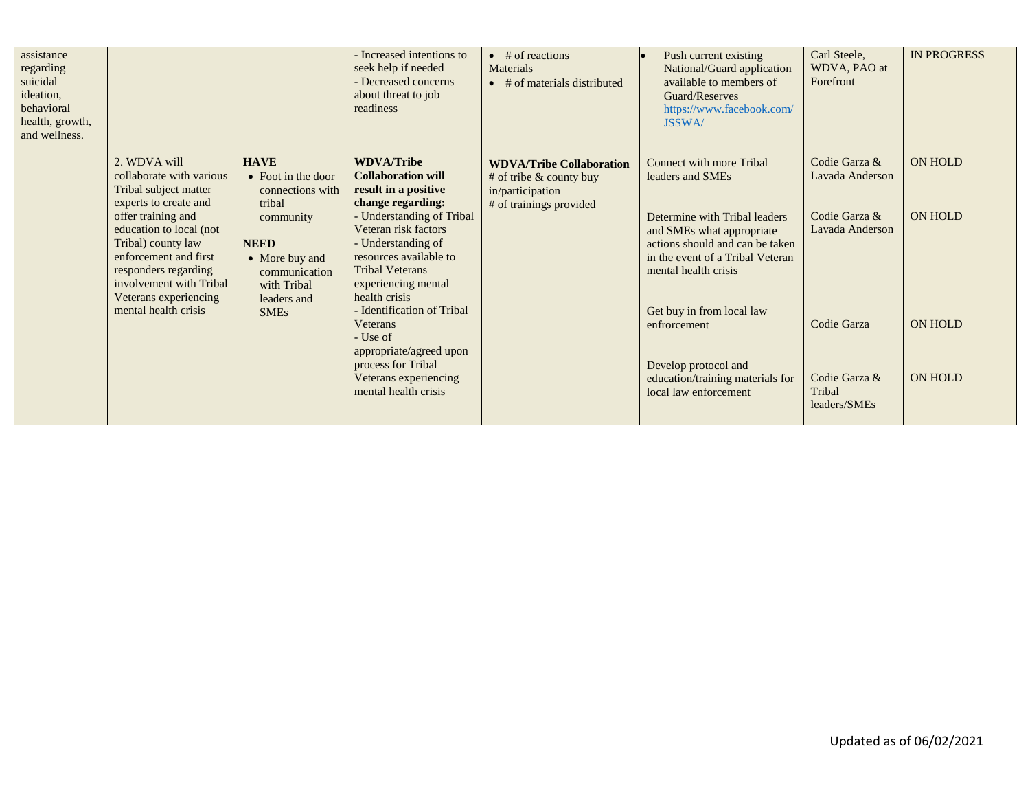| assistance<br>regarding<br>suicidal<br>ideation,<br>behavioral<br>health, growth,<br>and wellness. |                                                                                                                                                                                                                                                                        |                                                                                                                                                                      | Increased intentions to<br>seek help if needed<br>- Decreased concerns<br>about threat to job<br>readiness                                                                                                                                                         | $\bullet$ # of reactions<br>Materials<br># of materials distributed                                         | Push current existing<br>National/Guard application<br>available to members of<br>Guard/Reserves<br>https://www.facebook.com/<br><b>JSSWA/</b>                                                            | Carl Steele,<br>WDVA, PAO at<br>Forefront                            | <b>IN PROGRESS</b>               |
|----------------------------------------------------------------------------------------------------|------------------------------------------------------------------------------------------------------------------------------------------------------------------------------------------------------------------------------------------------------------------------|----------------------------------------------------------------------------------------------------------------------------------------------------------------------|--------------------------------------------------------------------------------------------------------------------------------------------------------------------------------------------------------------------------------------------------------------------|-------------------------------------------------------------------------------------------------------------|-----------------------------------------------------------------------------------------------------------------------------------------------------------------------------------------------------------|----------------------------------------------------------------------|----------------------------------|
|                                                                                                    | 2. WDVA will<br>collaborate with various<br>Tribal subject matter<br>experts to create and<br>offer training and<br>education to local (not<br>Tribal) county law<br>enforcement and first<br>responders regarding<br>involvement with Tribal<br>Veterans experiencing | <b>HAVE</b><br>$\bullet$ Foot in the door<br>connections with<br>tribal<br>community<br><b>NEED</b><br>• More buy and<br>communication<br>with Tribal<br>leaders and | <b>WDVA/Tribe</b><br><b>Collaboration will</b><br>result in a positive<br>change regarding:<br>- Understanding of Tribal<br>Veteran risk factors<br>- Understanding of<br>resources available to<br><b>Tribal Veterans</b><br>experiencing mental<br>health crisis | <b>WDVA/Tribe Collaboration</b><br># of tribe $&$ county buy<br>in/participation<br># of trainings provided | Connect with more Tribal<br>leaders and SMEs<br>Determine with Tribal leaders<br>and SMEs what appropriate<br>actions should and can be taken<br>in the event of a Tribal Veteran<br>mental health crisis | Codie Garza &<br>Lavada Anderson<br>Codie Garza &<br>Lavada Anderson | <b>ON HOLD</b><br><b>ON HOLD</b> |
|                                                                                                    | mental health crisis                                                                                                                                                                                                                                                   | <b>SMEs</b>                                                                                                                                                          | <b>Identification of Tribal</b><br>Veterans<br>- Use of<br>appropriate/agreed upon<br>process for Tribal<br>Veterans experiencing<br>mental health crisis                                                                                                          |                                                                                                             | Get buy in from local law<br>enfrorcement<br>Develop protocol and<br>education/training materials for<br>local law enforcement                                                                            | Codie Garza<br>Codie Garza &<br>Tribal<br>leaders/SMEs               | <b>ON HOLD</b><br><b>ON HOLD</b> |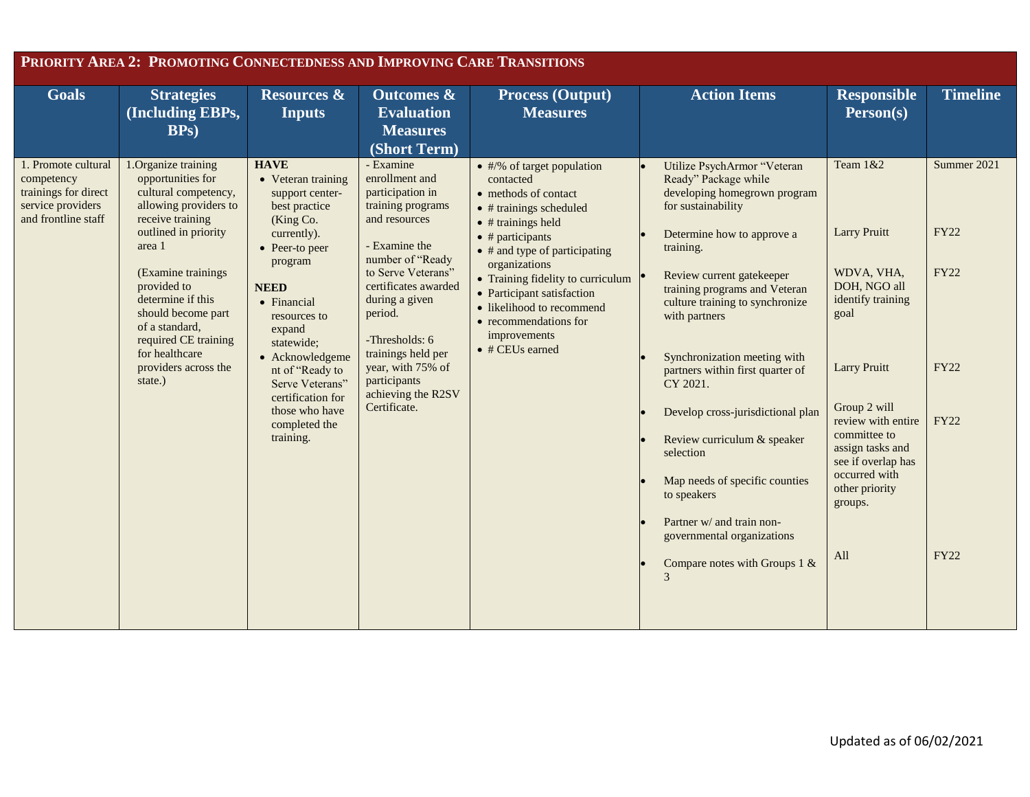|                                                                                                       | PRIORITY AREA 2: PROMOTING CONNECTEDNESS AND IMPROVING CARE TRANSITIONS                                                                                                                                                                                                                                                        |                                                                                                                                                                                                                                                                                                                                    |                                                                                                                                                                                                                                                                                                                          |                                                                                                                                                                                                                                                                                                                                                                            |                                                                                                                                                                                                                                                                                                                                                                                                                                                                                                                                                                                           |                                                                                                                                                                                                                                                                        |                                                                                        |
|-------------------------------------------------------------------------------------------------------|--------------------------------------------------------------------------------------------------------------------------------------------------------------------------------------------------------------------------------------------------------------------------------------------------------------------------------|------------------------------------------------------------------------------------------------------------------------------------------------------------------------------------------------------------------------------------------------------------------------------------------------------------------------------------|--------------------------------------------------------------------------------------------------------------------------------------------------------------------------------------------------------------------------------------------------------------------------------------------------------------------------|----------------------------------------------------------------------------------------------------------------------------------------------------------------------------------------------------------------------------------------------------------------------------------------------------------------------------------------------------------------------------|-------------------------------------------------------------------------------------------------------------------------------------------------------------------------------------------------------------------------------------------------------------------------------------------------------------------------------------------------------------------------------------------------------------------------------------------------------------------------------------------------------------------------------------------------------------------------------------------|------------------------------------------------------------------------------------------------------------------------------------------------------------------------------------------------------------------------------------------------------------------------|----------------------------------------------------------------------------------------|
| <b>Goals</b>                                                                                          | <b>Strategies</b><br>(Including EBPs,<br>BPs)                                                                                                                                                                                                                                                                                  | <b>Resources &amp;</b><br><b>Inputs</b>                                                                                                                                                                                                                                                                                            | <b>Outcomes &amp;</b><br><b>Evaluation</b><br><b>Measures</b><br>(Short Term)                                                                                                                                                                                                                                            | <b>Process (Output)</b><br><b>Measures</b>                                                                                                                                                                                                                                                                                                                                 | <b>Action Items</b>                                                                                                                                                                                                                                                                                                                                                                                                                                                                                                                                                                       | <b>Responsible</b><br>Person(s)                                                                                                                                                                                                                                        | <b>Timeline</b>                                                                        |
| 1. Promote cultural<br>competency<br>trainings for direct<br>service providers<br>and frontline staff | .Organize training<br>opportunities for<br>cultural competency,<br>allowing providers to<br>receive training<br>outlined in priority<br>area 1<br>(Examine trainings)<br>provided to<br>determine if this<br>should become part<br>of a standard,<br>required CE training<br>for healthcare<br>providers across the<br>state.) | <b>HAVE</b><br>• Veteran training<br>support center-<br>best practice<br>(King Co.<br>currently).<br>• Peer-to peer<br>program<br><b>NEED</b><br>• Financial<br>resources to<br>expand<br>statewide;<br>• Acknowledgeme<br>nt of "Ready to<br>Serve Veterans"<br>certification for<br>those who have<br>completed the<br>training. | - Examine<br>enrollment and<br>participation in<br>training programs<br>and resources<br>- Examine the<br>number of "Ready<br>to Serve Veterans"<br>certificates awarded<br>during a given<br>period.<br>-Thresholds: 6<br>trainings held per<br>year, with 75% of<br>participants<br>achieving the R2SV<br>Certificate. | • #/% of target population<br>contacted<br>• methods of contact<br>• # trainings scheduled<br>$\bullet$ # trainings held<br>$\bullet$ # participants<br>$\bullet$ # and type of participating<br>organizations<br>• Training fidelity to curriculum<br>• Participant satisfaction<br>• likelihood to recommend<br>• recommendations for<br>improvements<br>• # CEUs earned | Utilize PsychArmor "Veteran<br>Ready" Package while<br>developing homegrown program<br>for sustainability<br>Determine how to approve a<br>training.<br>Review current gatekeeper<br>training programs and Veteran<br>culture training to synchronize<br>with partners<br>Synchronization meeting with<br>partners within first quarter of<br>CY 2021.<br>Develop cross-jurisdictional plan<br>Review curriculum & speaker<br>selection<br>Map needs of specific counties<br>to speakers<br>Partner w/ and train non-<br>governmental organizations<br>Compare notes with Groups 1 &<br>3 | Team 1&2<br><b>Larry Pruitt</b><br>WDVA, VHA,<br>DOH, NGO all<br>identify training<br>goal<br><b>Larry Pruitt</b><br>Group 2 will<br>review with entire<br>committee to<br>assign tasks and<br>see if overlap has<br>occurred with<br>other priority<br>groups.<br>All | Summer 2021<br><b>FY22</b><br><b>FY22</b><br><b>FY22</b><br><b>FY22</b><br><b>FY22</b> |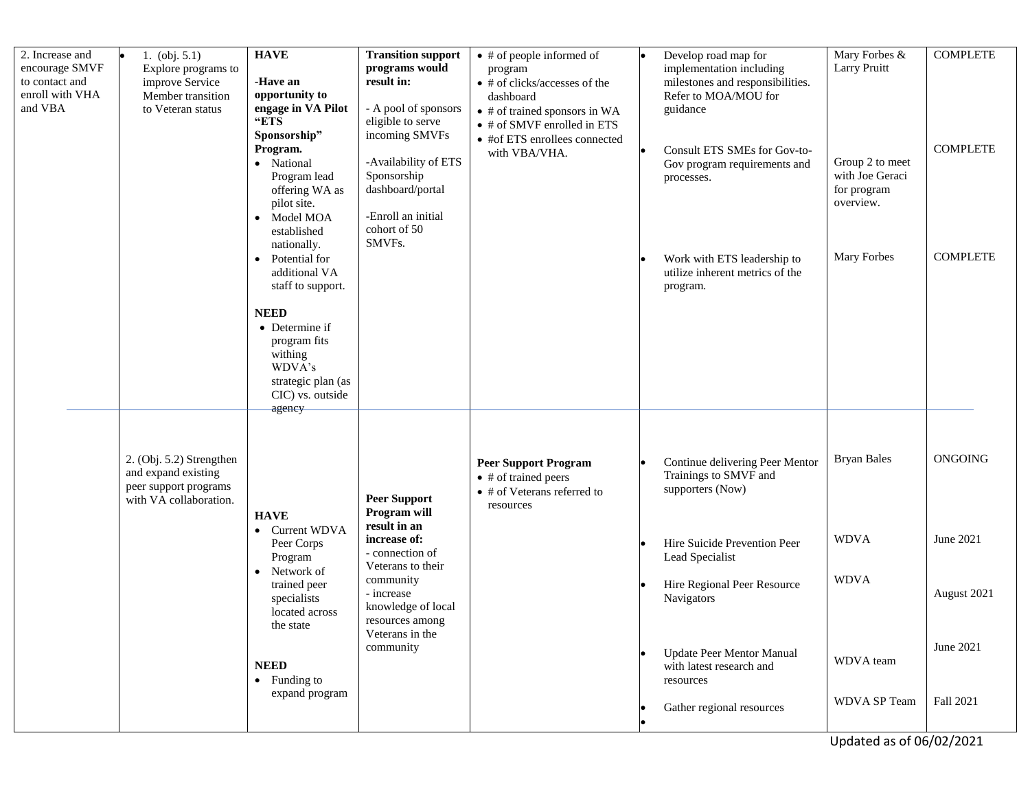| 2. Increase and<br>encourage SMVF<br>to contact and<br>enroll with VHA<br>and VBA | 1. (obj. $5.1$ )<br>le.<br>Explore programs to<br>improve Service<br>Member transition<br>to Veteran status | <b>HAVE</b><br>-Have an<br>opportunity to<br>engage in VA Pilot<br>"ETS<br>Sponsorship"<br>Program.<br>· National<br>Program lead<br>offering WA as<br>pilot site.<br>• Model MOA<br>established<br>nationally. | <b>Transition support</b><br>programs would<br>result in:<br>- A pool of sponsors<br>eligible to serve<br>incoming SMVFs<br>-Availability of ETS<br>Sponsorship<br>dashboard/portal<br>-Enroll an initial<br>cohort of 50<br>SMVFs. | $\bullet$ # of people informed of<br>program<br>• # of clicks/accesses of the<br>dashboard<br>• # of trained sponsors in WA<br>• # of SMVF enrolled in ETS<br>• #of ETS enrollees connected<br>with VBA/VHA. | Develop road map for<br>implementation including<br>milestones and responsibilities.<br>Refer to MOA/MOU for<br>guidance<br>Consult ETS SMEs for Gov-to-<br>Gov program requirements and<br>processes. | Mary Forbes &<br><b>Larry Pruitt</b><br>Group 2 to meet<br>with Joe Geraci<br>for program<br>overview. | <b>COMPLETE</b><br><b>COMPLETE</b>         |
|-----------------------------------------------------------------------------------|-------------------------------------------------------------------------------------------------------------|-----------------------------------------------------------------------------------------------------------------------------------------------------------------------------------------------------------------|-------------------------------------------------------------------------------------------------------------------------------------------------------------------------------------------------------------------------------------|--------------------------------------------------------------------------------------------------------------------------------------------------------------------------------------------------------------|--------------------------------------------------------------------------------------------------------------------------------------------------------------------------------------------------------|--------------------------------------------------------------------------------------------------------|--------------------------------------------|
|                                                                                   |                                                                                                             | Potential for<br>$\bullet$<br>additional VA<br>staff to support.<br><b>NEED</b><br>• Determine if<br>program fits<br>withing<br>WDVA's<br>strategic plan (as<br>CIC) vs. outside<br>agency                      |                                                                                                                                                                                                                                     |                                                                                                                                                                                                              | Work with ETS leadership to<br>utilize inherent metrics of the<br>program.                                                                                                                             | Mary Forbes                                                                                            | <b>COMPLETE</b>                            |
|                                                                                   | 2. (Obj. 5.2) Strengthen<br>and expand existing<br>peer support programs<br>with VA collaboration.          | <b>HAVE</b><br>• Current WDVA<br>Peer Corps<br>Program<br>Network of<br>$\bullet$<br>trained peer<br>specialists                                                                                                | <b>Peer Support</b><br>Program will<br>result in an<br>increase of:<br>- connection of<br>Veterans to their<br>community<br>- increase                                                                                              | <b>Peer Support Program</b><br>• # of trained peers<br>• # of Veterans referred to<br>resources                                                                                                              | Continue delivering Peer Mentor<br>Trainings to SMVF and<br>supporters (Now)<br>Hire Suicide Prevention Peer<br>Lead Specialist<br>Hire Regional Peer Resource<br>Navigators                           | <b>Bryan Bales</b><br><b>WDVA</b><br><b>WDVA</b>                                                       | <b>ONGOING</b><br>June 2021<br>August 2021 |
|                                                                                   |                                                                                                             | located across<br>the state<br><b>NEED</b><br>$\bullet$ Funding to<br>expand program                                                                                                                            | knowledge of local<br>resources among<br>Veterans in the<br>community                                                                                                                                                               |                                                                                                                                                                                                              | Update Peer Mentor Manual<br>with latest research and<br>resources<br>Gather regional resources                                                                                                        | WDVA team<br>WDVA SP Team                                                                              | June 2021<br>Fall 2021                     |

Updated as of 06/02/2021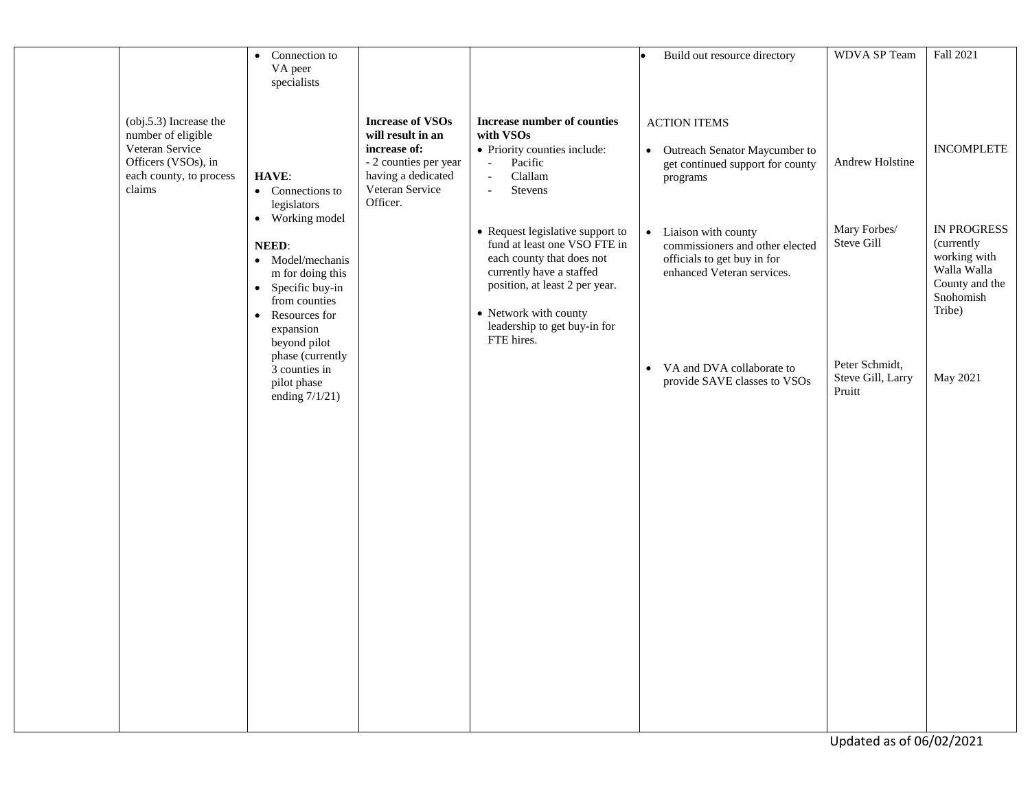|                                                                                                                             | Connection to<br>$\bullet$<br>VA peer<br>specialists                                                                                                                   |                                                                                                                                            |                                                                                                                                                                                                                                                                                                | Build out resource directory                                                                                                                                                                                                    | WDVA SP Team                                  | Fall 2021                                                                            |
|-----------------------------------------------------------------------------------------------------------------------------|------------------------------------------------------------------------------------------------------------------------------------------------------------------------|--------------------------------------------------------------------------------------------------------------------------------------------|------------------------------------------------------------------------------------------------------------------------------------------------------------------------------------------------------------------------------------------------------------------------------------------------|---------------------------------------------------------------------------------------------------------------------------------------------------------------------------------------------------------------------------------|-----------------------------------------------|--------------------------------------------------------------------------------------|
| (obj.5.3) Increase the<br>number of eligible<br>Veteran Service<br>Officers (VSOs), in<br>each county, to process<br>claims | HAVE:<br>• Connections to<br>legislators<br>• Working model<br>NEED:<br>• Model/mechanis<br>m for doing this                                                           | <b>Increase of VSOs</b><br>will result in an<br>increase of:<br>- 2 counties per year<br>having a dedicated<br>Veteran Service<br>Officer. | Increase number of counties<br>with VSOs<br>• Priority counties include:<br>Pacific<br>$\overline{\phantom{a}}$<br>Clallam<br>$\overline{\phantom{a}}$<br>Stevens<br>• Request legislative support to<br>fund at least one VSO FTE in<br>each county that does not<br>currently have a staffed | <b>ACTION ITEMS</b><br>• Outreach Senator Maycumber to<br>get continued support for county<br>programs<br>• Liaison with county<br>commissioners and other elected<br>officials to get buy in for<br>enhanced Veteran services. | Andrew Holstine<br>Mary Forbes/<br>Steve Gill | <b>INCOMPLETE</b><br><b>IN PROGRESS</b><br>(currently<br>working with<br>Walla Walla |
|                                                                                                                             | • Specific buy-in<br>from counties<br>Resources for<br>$\bullet$<br>expansion<br>beyond pilot<br>phase (currently<br>3 counties in<br>pilot phase<br>ending $7/1/21$ ) |                                                                                                                                            | position, at least 2 per year.<br>• Network with county<br>leadership to get buy-in for<br>FTE hires.                                                                                                                                                                                          | • VA and DVA collaborate to<br>provide SAVE classes to VSOs                                                                                                                                                                     | Peter Schmidt,<br>Steve Gill, Larry<br>Pruitt | County and the<br>Snohomish<br>Tribe)<br>May 2021                                    |
|                                                                                                                             |                                                                                                                                                                        |                                                                                                                                            |                                                                                                                                                                                                                                                                                                |                                                                                                                                                                                                                                 |                                               |                                                                                      |
|                                                                                                                             |                                                                                                                                                                        |                                                                                                                                            |                                                                                                                                                                                                                                                                                                |                                                                                                                                                                                                                                 |                                               |                                                                                      |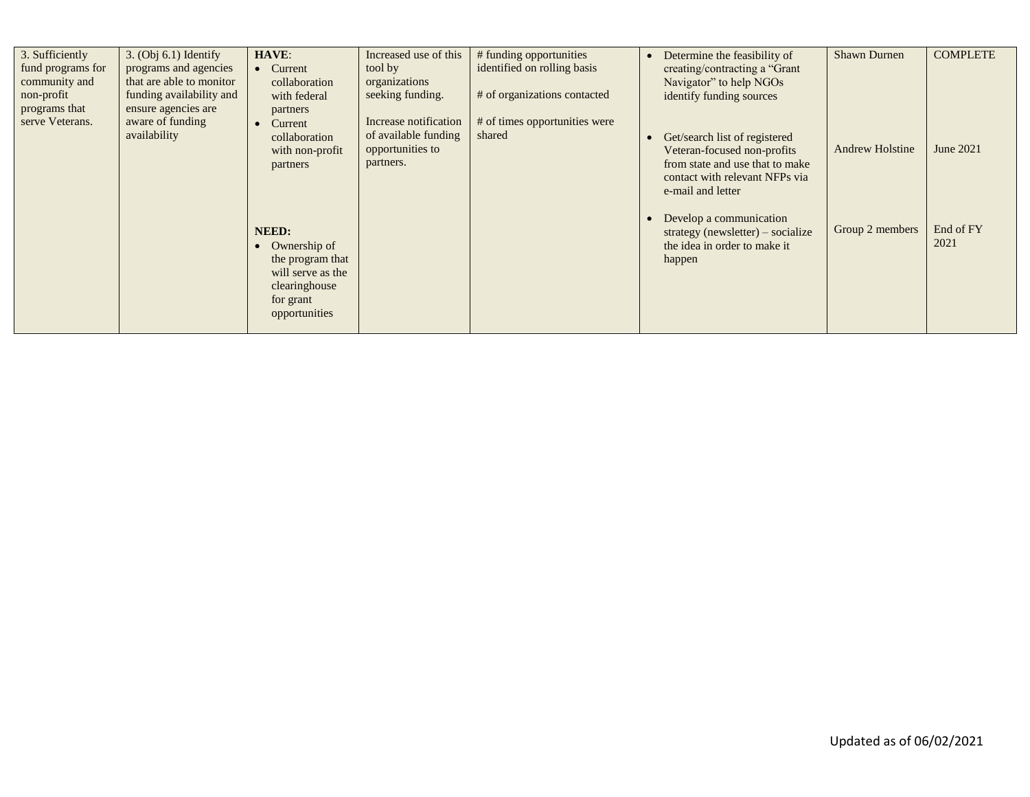| 3. Sufficiently   | $3.$ (Obj $6.1$ ) Identify | HAVE:                | Increased use of this | # funding opportunities       | Determine the feasibility of      | <b>Shawn Durnen</b>    | <b>COMPLETE</b> |
|-------------------|----------------------------|----------------------|-----------------------|-------------------------------|-----------------------------------|------------------------|-----------------|
| fund programs for | programs and agencies      | Current<br>$\bullet$ | tool by               | identified on rolling basis   | creating/contracting a "Grant"    |                        |                 |
| community and     | that are able to monitor   | collaboration        | organizations         |                               | Navigator" to help NGOs           |                        |                 |
| non-profit        | funding availability and   | with federal         | seeking funding.      | # of organizations contacted  | identify funding sources          |                        |                 |
| programs that     | ensure agencies are        | partners             |                       |                               |                                   |                        |                 |
| serve Veterans.   | aware of funding           | Current<br>$\bullet$ | Increase notification | # of times opportunities were |                                   |                        |                 |
|                   | availability               | collaboration        | of available funding  | shared                        | Get/search list of registered     |                        |                 |
|                   |                            | with non-profit      | opportunities to      |                               | Veteran-focused non-profits       | <b>Andrew Holstine</b> | June 2021       |
|                   |                            | partners             | partners.             |                               | from state and use that to make   |                        |                 |
|                   |                            |                      |                       |                               | contact with relevant NFPs via    |                        |                 |
|                   |                            |                      |                       |                               | e-mail and letter                 |                        |                 |
|                   |                            |                      |                       |                               |                                   |                        |                 |
|                   |                            |                      |                       |                               | Develop a communication           |                        |                 |
|                   |                            | <b>NEED:</b>         |                       |                               | strategy (newsletter) – socialize | Group 2 members        | End of FY       |
|                   |                            | Ownership of         |                       |                               | the idea in order to make it      |                        | 2021            |
|                   |                            | the program that     |                       |                               | happen                            |                        |                 |
|                   |                            | will serve as the    |                       |                               |                                   |                        |                 |
|                   |                            | clearinghouse        |                       |                               |                                   |                        |                 |
|                   |                            | for grant            |                       |                               |                                   |                        |                 |
|                   |                            | opportunities        |                       |                               |                                   |                        |                 |
|                   |                            |                      |                       |                               |                                   |                        |                 |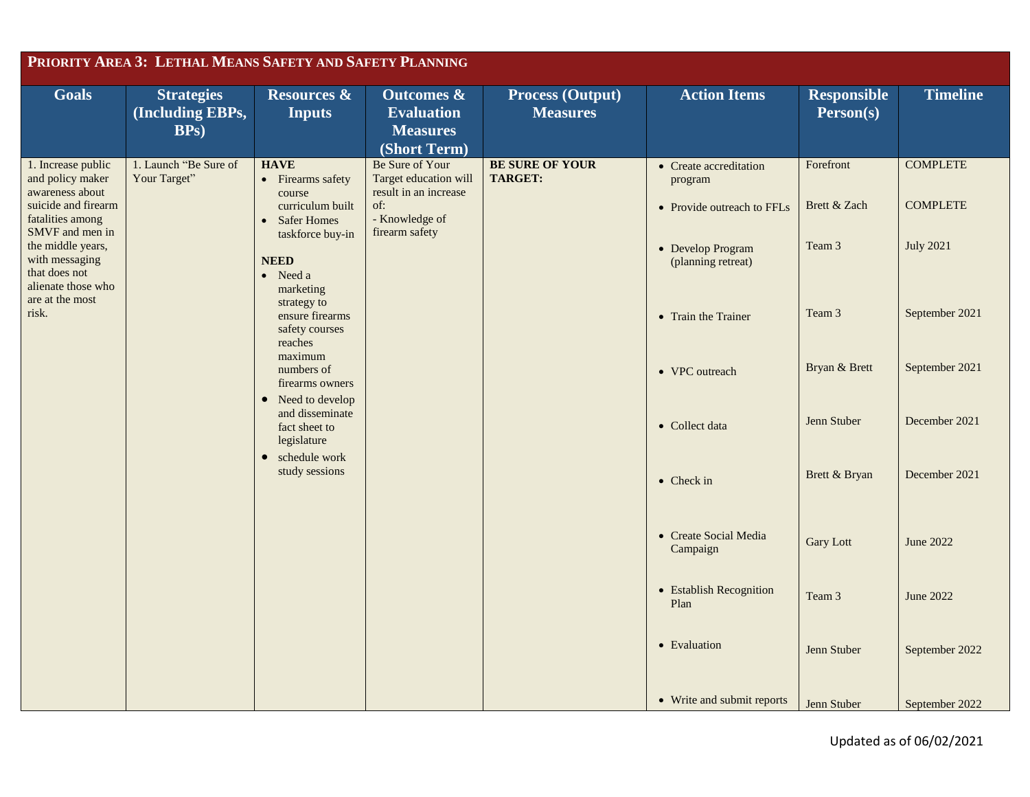|                                                                                                                                              | PRIORITY AREA 3: LETHAL MEANS SAFETY AND SAFETY PLANNING |                                                                                                             |                                                                                                              |                                            |                                                                                      |                                     |                                                        |
|----------------------------------------------------------------------------------------------------------------------------------------------|----------------------------------------------------------|-------------------------------------------------------------------------------------------------------------|--------------------------------------------------------------------------------------------------------------|--------------------------------------------|--------------------------------------------------------------------------------------|-------------------------------------|--------------------------------------------------------|
| <b>Goals</b>                                                                                                                                 | <b>Strategies</b><br>(Including EBPs,<br><b>BPs</b> )    | <b>Resources &amp;</b><br><b>Inputs</b>                                                                     | <b>Outcomes &amp;</b><br><b>Evaluation</b><br><b>Measures</b><br>(Short Term)                                | <b>Process (Output)</b><br><b>Measures</b> | <b>Action Items</b>                                                                  | <b>Responsible</b><br>Person(s)     | <b>Timeline</b>                                        |
| 1. Increase public<br>and policy maker<br>awareness about<br>suicide and firearm<br>fatalities among<br>SMVF and men in<br>the middle years, | 1. Launch "Be Sure of<br>Your Target"                    | <b>HAVE</b><br>• Firearms safety<br>course<br>curriculum built<br>• Safer Homes<br>taskforce buy-in         | Be Sure of Your<br>Target education will<br>result in an increase<br>of:<br>- Knowledge of<br>firearm safety | <b>BE SURE OF YOUR</b><br><b>TARGET:</b>   | • Create accreditation<br>program<br>• Provide outreach to FFLs<br>• Develop Program | Forefront<br>Brett & Zach<br>Team 3 | <b>COMPLETE</b><br><b>COMPLETE</b><br><b>July 2021</b> |
| with messaging<br>that does not<br>alienate those who<br>are at the most<br>risk.                                                            |                                                          | <b>NEED</b><br>$\bullet$ Need a<br>marketing<br>strategy to<br>ensure firearms<br>safety courses<br>reaches |                                                                                                              |                                            | (planning retreat)<br>• Train the Trainer                                            | Team 3                              | September 2021                                         |
|                                                                                                                                              |                                                          | maximum<br>numbers of<br>firearms owners<br>• Need to develop                                               |                                                                                                              |                                            | • VPC outreach                                                                       | Bryan & Brett                       | September 2021                                         |
|                                                                                                                                              |                                                          | and disseminate<br>fact sheet to<br>legislature<br>schedule work<br>$\bullet$                               |                                                                                                              |                                            | • Collect data                                                                       | Jenn Stuber                         | December 2021                                          |
|                                                                                                                                              |                                                          | study sessions                                                                                              |                                                                                                              |                                            | $\bullet$ Check in                                                                   | Brett & Bryan                       | December 2021                                          |
|                                                                                                                                              |                                                          |                                                                                                             |                                                                                                              |                                            | • Create Social Media<br>Campaign                                                    | <b>Gary Lott</b>                    | June 2022                                              |
|                                                                                                                                              |                                                          |                                                                                                             |                                                                                                              |                                            | • Establish Recognition<br>Plan                                                      | Team 3                              | June 2022                                              |
|                                                                                                                                              |                                                          |                                                                                                             |                                                                                                              |                                            | • Evaluation<br>• Write and submit reports                                           | Jenn Stuber                         | September 2022                                         |
|                                                                                                                                              |                                                          |                                                                                                             |                                                                                                              |                                            |                                                                                      | Jenn Stuber                         | September 2022                                         |

Updated as of 06/02/2021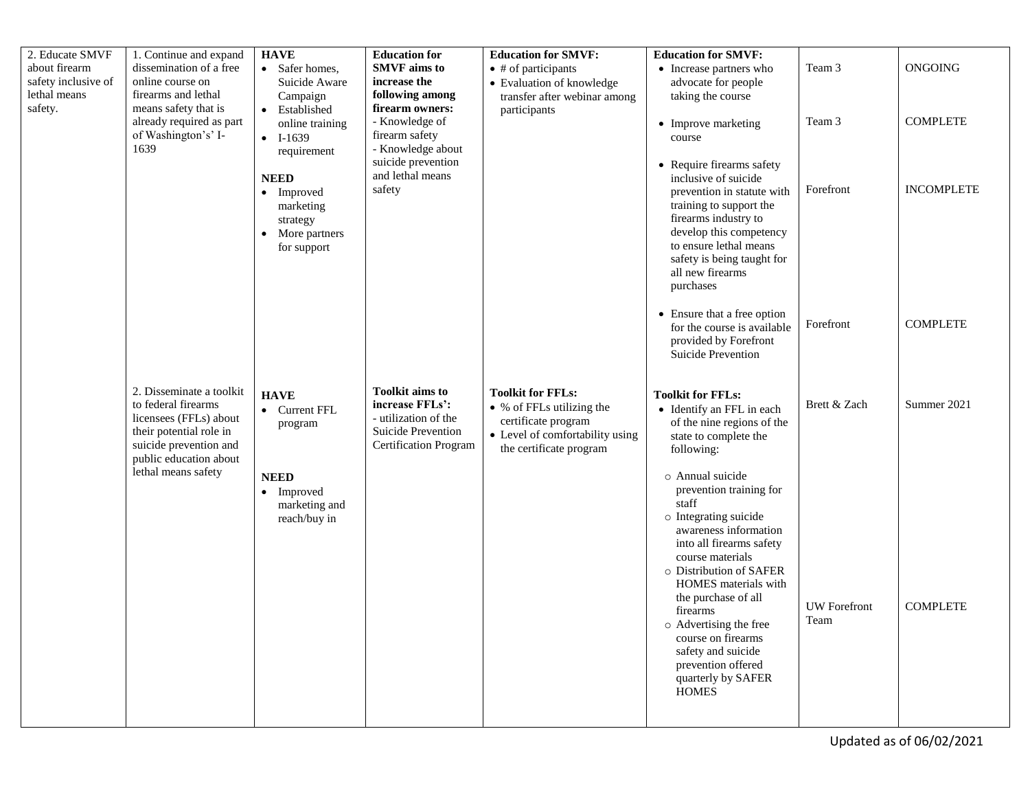| 2. Educate SMVF<br>about firearm<br>safety inclusive of<br>lethal means<br>safety. | 1. Continue and expand<br>dissemination of a free<br>online course on<br>firearms and lethal<br>means safety that is                                     | <b>HAVE</b><br>• Safer homes,<br>Suicide Aware<br>Campaign<br>Established<br>$\bullet$ | <b>Education for</b><br><b>SMVF</b> aims to<br>increase the<br>following among<br>firearm owners:                              | <b>Education for SMVF:</b><br>$\bullet$ # of participants<br>• Evaluation of knowledge<br>transfer after webinar among<br>participants     | <b>Education for SMVF:</b><br>• Increase partners who<br>advocate for people<br>taking the course                                                                                                                                | Team 3                      | <b>ONGOING</b>                       |
|------------------------------------------------------------------------------------|----------------------------------------------------------------------------------------------------------------------------------------------------------|----------------------------------------------------------------------------------------|--------------------------------------------------------------------------------------------------------------------------------|--------------------------------------------------------------------------------------------------------------------------------------------|----------------------------------------------------------------------------------------------------------------------------------------------------------------------------------------------------------------------------------|-----------------------------|--------------------------------------|
|                                                                                    | already required as part<br>of Washington's' I-<br>1639                                                                                                  | online training<br>$-I-1639$<br>requirement<br><b>NEED</b>                             | - Knowledge of<br>firearm safety<br>- Knowledge about<br>suicide prevention<br>and lethal means<br>safety                      |                                                                                                                                            | • Improve marketing<br>course<br>• Require firearms safety<br>inclusive of suicide                                                                                                                                               | Team 3<br>Forefront         | <b>COMPLETE</b><br><b>INCOMPLETE</b> |
|                                                                                    |                                                                                                                                                          | • Improved<br>marketing<br>strategy<br>More partners<br>for support                    |                                                                                                                                |                                                                                                                                            | prevention in statute with<br>training to support the<br>firearms industry to<br>develop this competency<br>to ensure lethal means<br>safety is being taught for<br>all new firearms<br>purchases                                |                             |                                      |
|                                                                                    |                                                                                                                                                          |                                                                                        |                                                                                                                                |                                                                                                                                            | • Ensure that a free option<br>for the course is available<br>provided by Forefront<br><b>Suicide Prevention</b>                                                                                                                 | Forefront                   | <b>COMPLETE</b>                      |
|                                                                                    | 2. Disseminate a toolkit<br>to federal firearms<br>licensees (FFLs) about<br>their potential role in<br>suicide prevention and<br>public education about | <b>HAVE</b><br>• Current FFL<br>program                                                | <b>Toolkit aims to</b><br>increase FFLs':<br>- utilization of the<br><b>Suicide Prevention</b><br><b>Certification Program</b> | <b>Toolkit for FFLs:</b><br>• % of FFLs utilizing the<br>certificate program<br>• Level of comfortability using<br>the certificate program | <b>Toolkit for FFLs:</b><br>• Identify an FFL in each<br>of the nine regions of the<br>state to complete the<br>following:                                                                                                       | Brett & Zach                | Summer 2021                          |
|                                                                                    | lethal means safety                                                                                                                                      | <b>NEED</b><br>• Improved<br>marketing and<br>reach/buy in                             |                                                                                                                                |                                                                                                                                            | o Annual suicide<br>prevention training for<br>staff<br>o Integrating suicide<br>awareness information<br>into all firearms safety<br>course materials<br>o Distribution of SAFER<br>HOMES materials with<br>the purchase of all |                             |                                      |
|                                                                                    |                                                                                                                                                          |                                                                                        |                                                                                                                                |                                                                                                                                            | firearms<br>o Advertising the free<br>course on firearms<br>safety and suicide<br>prevention offered<br>quarterly by SAFER<br><b>HOMES</b>                                                                                       | <b>UW</b> Forefront<br>Team | <b>COMPLETE</b>                      |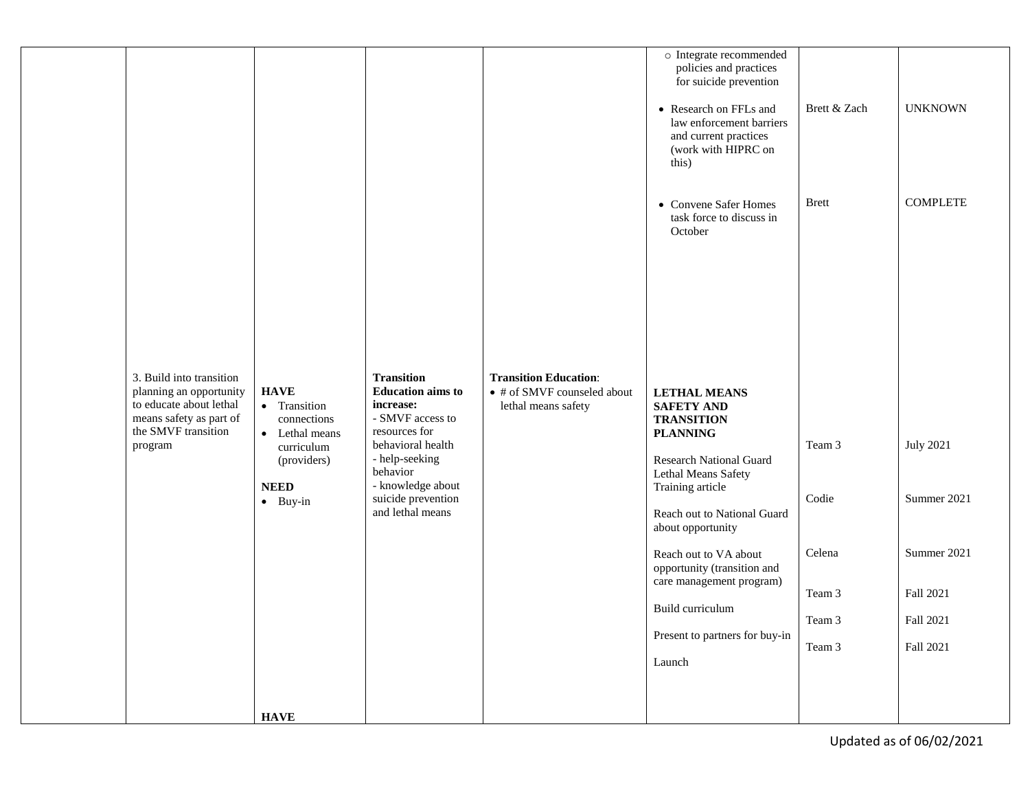|                                                                                                                                             |                                                                                                                              |                                                                                                                                                                                                                   |                                                                                    | o Integrate recommended<br>policies and practices<br>for suicide prevention<br>• Research on FFLs and<br>law enforcement barriers<br>and current practices<br>(work with HIPRC on<br>this)                        | Brett & Zach                         | <b>UNKNOWN</b>                                     |
|---------------------------------------------------------------------------------------------------------------------------------------------|------------------------------------------------------------------------------------------------------------------------------|-------------------------------------------------------------------------------------------------------------------------------------------------------------------------------------------------------------------|------------------------------------------------------------------------------------|-------------------------------------------------------------------------------------------------------------------------------------------------------------------------------------------------------------------|--------------------------------------|----------------------------------------------------|
|                                                                                                                                             |                                                                                                                              |                                                                                                                                                                                                                   |                                                                                    | • Convene Safer Homes<br>task force to discuss in<br>October                                                                                                                                                      | <b>Brett</b>                         | <b>COMPLETE</b>                                    |
| 3. Build into transition<br>planning an opportunity<br>to educate about lethal<br>means safety as part of<br>the SMVF transition<br>program | <b>HAVE</b><br>• Transition<br>connections<br>• Lethal means<br>curriculum<br>(providers)<br><b>NEED</b><br>$\bullet$ Buy-in | <b>Transition</b><br><b>Education</b> aims to<br>increase:<br>- SMVF access to<br>resources for<br>behavioral health<br>- help-seeking<br>behavior<br>- knowledge about<br>suicide prevention<br>and lethal means | <b>Transition Education:</b><br>• # of SMVF counseled about<br>lethal means safety | <b>LETHAL MEANS</b><br><b>SAFETY AND</b><br><b>TRANSITION</b><br><b>PLANNING</b><br><b>Research National Guard</b><br>Lethal Means Safety<br>Training article<br>Reach out to National Guard<br>about opportunity | Team 3<br>Codie                      | <b>July 2021</b><br>Summer 2021                    |
|                                                                                                                                             |                                                                                                                              |                                                                                                                                                                                                                   |                                                                                    | Reach out to VA about<br>opportunity (transition and<br>care management program)<br>Build curriculum<br>Present to partners for buy-in<br>Launch                                                                  | Celena<br>Team 3<br>Team 3<br>Team 3 | Summer 2021<br>Fall 2021<br>Fall 2021<br>Fall 2021 |
|                                                                                                                                             | <b>HAVE</b>                                                                                                                  |                                                                                                                                                                                                                   |                                                                                    |                                                                                                                                                                                                                   |                                      |                                                    |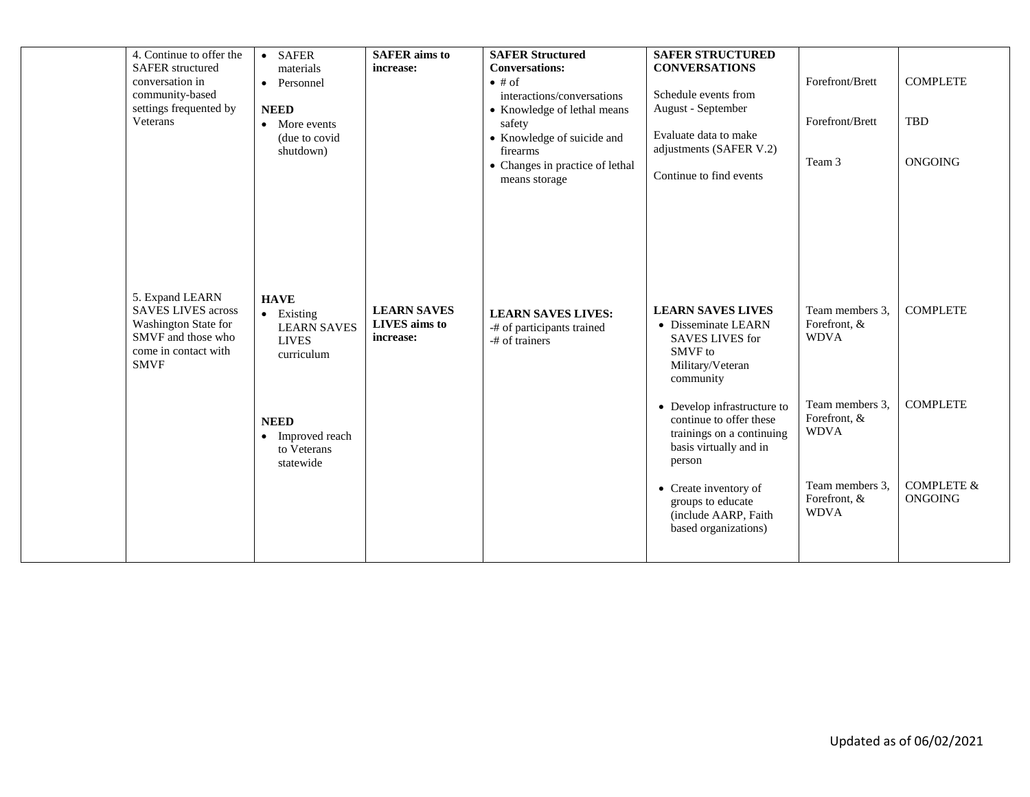| 4. Continue to offer the<br><b>SAFER</b> structured<br>conversation in<br>community-based<br>settings frequented by<br>Veterans   | • SAFER<br>materials<br>• Personnel<br><b>NEED</b><br>$\bullet$ More events<br>(due to covid<br>shutdown) | <b>SAFER</b> aims to<br>increase:                | <b>SAFER Structured</b><br><b>Conversations:</b><br>$\bullet$ # of<br>interactions/conversations<br>• Knowledge of lethal means<br>safety<br>• Knowledge of suicide and<br>firearms<br>• Changes in practice of lethal<br>means storage | <b>SAFER STRUCTURED</b><br><b>CONVERSATIONS</b><br>Schedule events from<br>August - September<br>Evaluate data to make<br>adjustments (SAFER V.2)<br>Continue to find events    | Forefront/Brett<br>Forefront/Brett<br>Team 3                                      | <b>COMPLETE</b><br><b>TBD</b><br><b>ONGOING</b> |
|-----------------------------------------------------------------------------------------------------------------------------------|-----------------------------------------------------------------------------------------------------------|--------------------------------------------------|-----------------------------------------------------------------------------------------------------------------------------------------------------------------------------------------------------------------------------------------|---------------------------------------------------------------------------------------------------------------------------------------------------------------------------------|-----------------------------------------------------------------------------------|-------------------------------------------------|
| 5. Expand LEARN<br><b>SAVES LIVES across</b><br>Washington State for<br>SMVF and those who<br>come in contact with<br><b>SMVF</b> | <b>HAVE</b><br>• Existing<br><b>LEARN SAVES</b><br><b>LIVES</b><br>curriculum<br><b>NEED</b>              | <b>LEARN SAVES</b><br>LIVES aims to<br>increase: | <b>LEARN SAVES LIVES:</b><br>-# of participants trained<br>-# of trainers                                                                                                                                                               | <b>LEARN SAVES LIVES</b><br>• Disseminate LEARN<br><b>SAVES LIVES for</b><br>SMVF to<br>Military/Veteran<br>community<br>• Develop infrastructure to<br>continue to offer these | Team members 3,<br>Forefront, &<br><b>WDVA</b><br>Team members 3,<br>Forefront, & | <b>COMPLETE</b><br><b>COMPLETE</b>              |
|                                                                                                                                   | • Improved reach<br>to Veterans<br>statewide                                                              |                                                  |                                                                                                                                                                                                                                         | trainings on a continuing<br>basis virtually and in<br>person<br>• Create inventory of<br>groups to educate<br>(include AARP, Faith<br>based organizations)                     | <b>WDVA</b><br>Team members 3,<br>Forefront, &<br><b>WDVA</b>                     | <b>COMPLETE &amp;</b><br><b>ONGOING</b>         |